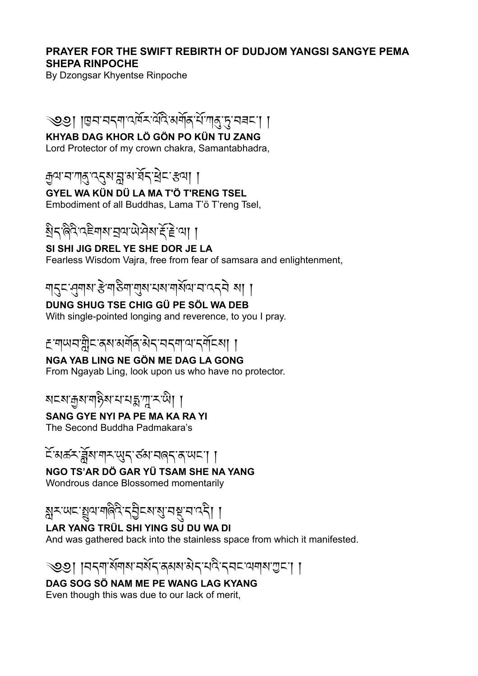#### **PRAYER FOR THE SWIFT REBIRTH OF DUDJOM YANGSI SANGYE PEMA SHEPA RINPOCHE**

By Dzongsar Khyentse Rinpoche

## ্৩৩়া ।ভ্ৰম'মন্মা'ন্দিম'ন্দি'মৰ্শিক'ৰ্ম'আৰু ড্ৰ'মৰ্চ'া ।

## **KHYAB DAG KHOR LÖ GÖN PO KÜN TU ZANG**

Lord Protector of my crown chakra, Samantabhadra,

<u> क</u>ुषायाणञ्जुष्ठ्**याप्तुषाञ्च**दाञ्चेदाञ्चला ।

## **GYEL WA KÜN DÜ LA MA T'Ö T'RENG TSEL**

Embodiment of all Buddhas, Lama T'ö T'reng Tsel,

# ষ্ট্ৰিন'ৰ্ন্নই-ই'ন্মা ।

### **SI SHI JIG DREL YE SHE DOR JE LA**

Fearless Wisdom Vajra, free from fear of samsara and enlightenment,

# শ্ব্চ্খ্নুশ্ৰু ইম্প্টিশ্ম্মুৰ মৰ শৰ্মি ন'ন্ক্ৰী ৰা ।

### **DUNG SHUG TSE CHIG GÜ PE SÖL WA DEB**

With single-pointed longing and reverence, to you I pray.

# ≛ শাঅবায়ী়≍ ৰূষ অৰ্শৰ ষীন অবশাৰ বৰ্ণি যা

## **NGA YAB LING NE GÖN ME DAG LA GONG**

From Ngayab Ling, look upon us who have no protector.

# <u>য়ঢ়য়ড়য়ড়ৡ৶ৼ৸ৼৗৼ৻ড়ৢৣ</u>৸

## **SANG GYE NYI PA PE MA KA RA YI**

The Second Buddha Padmakara's

# ངོ་མཚར་ཟློས་གར་ཡུད་ཙམ་བཞད་ན་ཡང་། །

## **NGO TS'AR DÖ GAR YÜ TSAM SHE NA YANG**

Wondrous dance Blossomed momentarily

# ষ্ণুমড়েশ্রুণসালিবি'ন্ট্রিমেংমু'নম্ব'ন'ন্নী ।

## **LAR YANG TRÜL SHI YING SU DU WA DI**

And was gathered back into the stainless space from which it manifested.

# ্৩৩। ।নব্দার্ষদামর্ষিব র্ষমার্ষব শবি বেন অনাম ভূনে ।

#### **DAG SOG SÖ NAM ME PE WANG LAG KYANG** Even though this was due to our lack of merit,